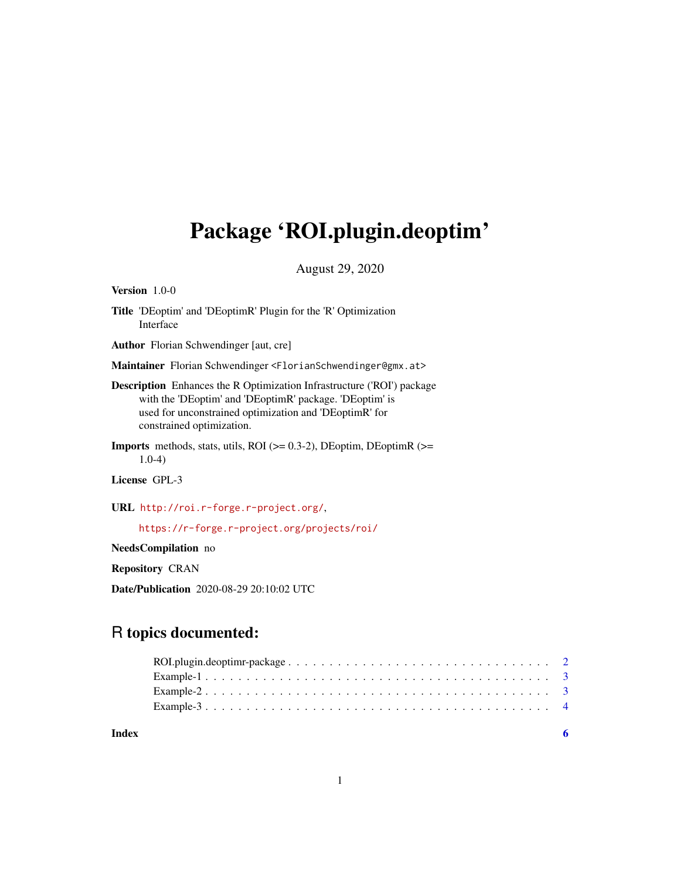## Package 'ROI.plugin.deoptim'

August 29, 2020

Version 1.0-0

Title 'DEoptim' and 'DEoptimR' Plugin for the 'R' Optimization Interface

Author Florian Schwendinger [aut, cre]

Maintainer Florian Schwendinger <FlorianSchwendinger@gmx.at>

Description Enhances the R Optimization Infrastructure ('ROI') package with the 'DEoptim' and 'DEoptimR' package. 'DEoptim' is used for unconstrained optimization and 'DEoptimR' for constrained optimization.

**Imports** methods, stats, utils, ROI ( $>= 0.3-2$ ), DEoptim, DEoptimR ( $>=$ 1.0-4)

License GPL-3

URL <http://roi.r-forge.r-project.org/>,

<https://r-forge.r-project.org/projects/roi/>

NeedsCompilation no

Repository CRAN

Date/Publication 2020-08-29 20:10:02 UTC

### R topics documented:

| Index |  |
|-------|--|

1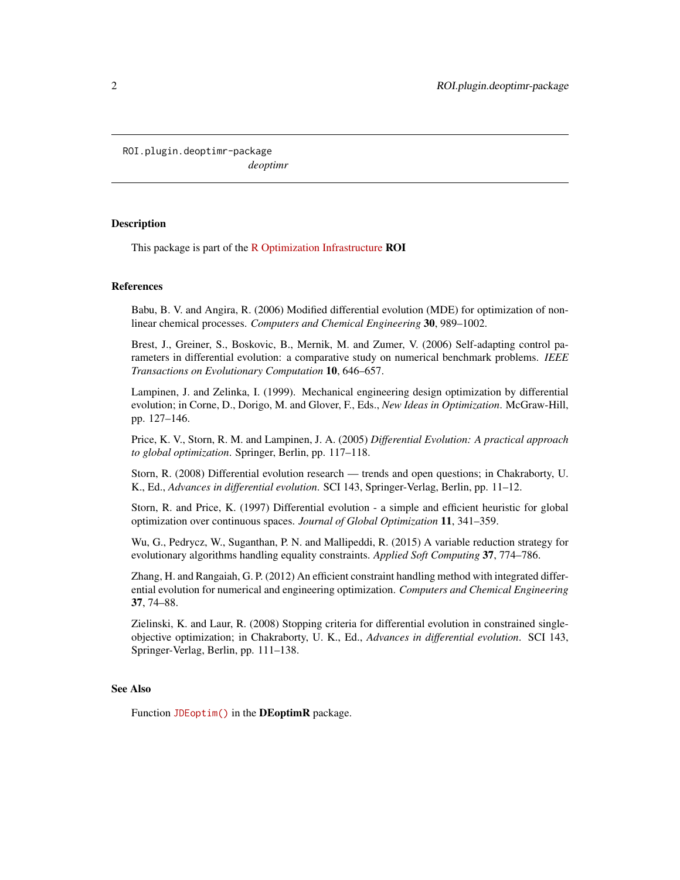<span id="page-1-0"></span>ROI.plugin.deoptimr-package *deoptimr*

#### **Description**

This package is part of the [R Optimization Infrastructure](https://cran.r-project.org/package=ROI) **ROI** 

#### References

Babu, B. V. and Angira, R. (2006) Modified differential evolution (MDE) for optimization of nonlinear chemical processes. *Computers and Chemical Engineering* 30, 989–1002.

Brest, J., Greiner, S., Boskovic, B., Mernik, M. and Zumer, V. (2006) Self-adapting control parameters in differential evolution: a comparative study on numerical benchmark problems. *IEEE Transactions on Evolutionary Computation* 10, 646–657.

Lampinen, J. and Zelinka, I. (1999). Mechanical engineering design optimization by differential evolution; in Corne, D., Dorigo, M. and Glover, F., Eds., *New Ideas in Optimization*. McGraw-Hill, pp. 127–146.

Price, K. V., Storn, R. M. and Lampinen, J. A. (2005) *Differential Evolution: A practical approach to global optimization*. Springer, Berlin, pp. 117–118.

Storn, R. (2008) Differential evolution research — trends and open questions; in Chakraborty, U. K., Ed., *Advances in differential evolution*. SCI 143, Springer-Verlag, Berlin, pp. 11–12.

Storn, R. and Price, K. (1997) Differential evolution - a simple and efficient heuristic for global optimization over continuous spaces. *Journal of Global Optimization* 11, 341–359.

Wu, G., Pedrycz, W., Suganthan, P. N. and Mallipeddi, R. (2015) A variable reduction strategy for evolutionary algorithms handling equality constraints. *Applied Soft Computing* 37, 774–786.

Zhang, H. and Rangaiah, G. P. (2012) An efficient constraint handling method with integrated differential evolution for numerical and engineering optimization. *Computers and Chemical Engineering* 37, 74–88.

Zielinski, K. and Laur, R. (2008) Stopping criteria for differential evolution in constrained singleobjective optimization; in Chakraborty, U. K., Ed., *Advances in differential evolution*. SCI 143, Springer-Verlag, Berlin, pp. 111–138.

#### See Also

Function [JDEoptim\(\)](https://cran.r-project.org/package=DEoptimR/DEoptimR.pdf) in the DEoptimR package.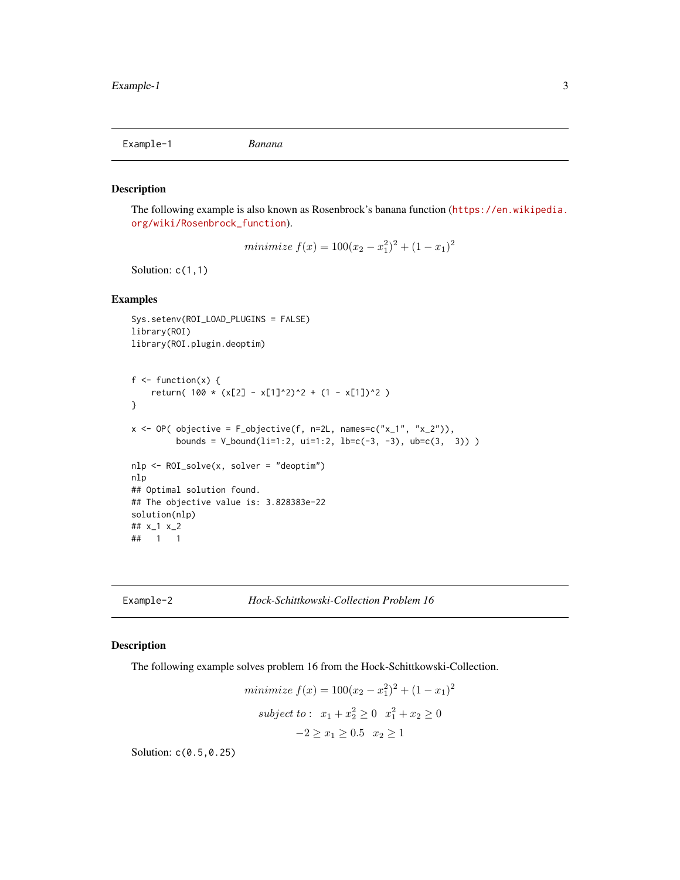<span id="page-2-0"></span>Example-1 *Banana*

#### Description

The following example is also known as Rosenbrock's banana function ([https://en.wikipedia.](https://en.wikipedia.org/wiki/Rosenbrock_function) [org/wiki/Rosenbrock\\_function](https://en.wikipedia.org/wiki/Rosenbrock_function)).

minimize  $f(x) = 100(x_2 - x_1^2)^2 + (1 - x_1)^2$ 

Solution:  $c(1,1)$ 

#### Examples

```
Sys.setenv(ROI_LOAD_PLUGINS = FALSE)
library(ROI)
library(ROI.plugin.deoptim)
f \leftarrow function(x) {
    return( 100 \times (x[2] - x[1]^2)^2 + (1 - x[1])^2 )
}
x \leftarrow OP( objective = F_objective(f, n=2L, names=c("x_1", "x_2")),
         bounds = V_bbound(li=1:2, ui=1:2, lb=c(-3, -3), ub=c(3, 3)) )
nlp <- ROI_solve(x, solver = "deoptim")
nlp
## Optimal solution found.
## The objective value is: 3.828383e-22
solution(nlp)
## x_1 x_2
## 1 1
```
Example-2 *Hock-Schittkowski-Collection Problem 16*

#### Description

The following example solves problem 16 from the Hock-Schittkowski-Collection.

minimize 
$$
f(x) = 100(x_2 - x_1^2)^2 + (1 - x_1)^2
$$
  
subject to:  $x_1 + x_2^2 \ge 0$   $x_1^2 + x_2 \ge 0$   
 $-2 \ge x_1 \ge 0.5$   $x_2 \ge 1$ 

Solution: c(0.5,0.25)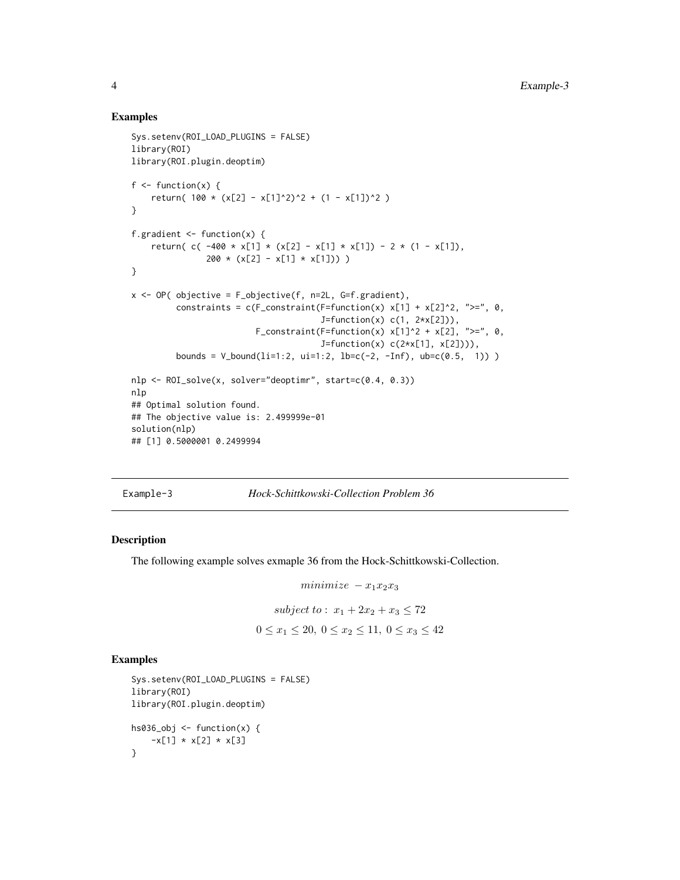#### Examples

```
Sys.setenv(ROI_LOAD_PLUGINS = FALSE)
library(ROI)
library(ROI.plugin.deoptim)
f \leftarrow function(x) {
    return( 100 \times (x[2] - x[1]^2)^2 + (1 - x[1])^2 )
}
f.gradient \leq function(x) {
    return( c( -400 * x[1] * (x[2] - x[1] * x[1]) - 2 * (1 - x[1]),
               200 * (x[2] - x[1] * x[1]))}
x \leq 0P( objective = F_objective(f, n=2L, G=f.gradient),
         constraints = c(F_{\text{constrained}}(F=function(x)) \times [1] + x[2]^2, ">=", 0,J=function(x) c(1, 2*x[2])),
                          F_constraint(F=function(x) x[1]^2 + x[2], ">=", 0,
                                        J=function(x) c(2*x[1], x[2])),
         bounds = V_bound(li=1:2, ui=1:2, lb=c(-2, -Inf), ub=c(0.5, 1)) )
nlp <- ROI_solve(x, solver="deoptimr", start=c(0.4, 0.3))
nlp
## Optimal solution found.
## The objective value is: 2.499999e-01
solution(nlp)
## [1] 0.5000001 0.2499994
```
Example-3 *Hock-Schittkowski-Collection Problem 36*

#### Description

The following example solves exmaple 36 from the Hock-Schittkowski-Collection.

 $minimize$   $-x_1x_2x_3$ subject to :  $x_1 + 2x_2 + x_3 \le 72$  $0 \le x_1 \le 20, \ 0 \le x_2 \le 11, \ 0 \le x_3 \le 42$ 

#### Examples

```
Sys.setenv(ROI_LOAD_PLUGINS = FALSE)
library(ROI)
library(ROI.plugin.deoptim)
hs036_obj \leftarrow function(x) {
    -x[1] * x[2] * x[3]}
```
<span id="page-3-0"></span>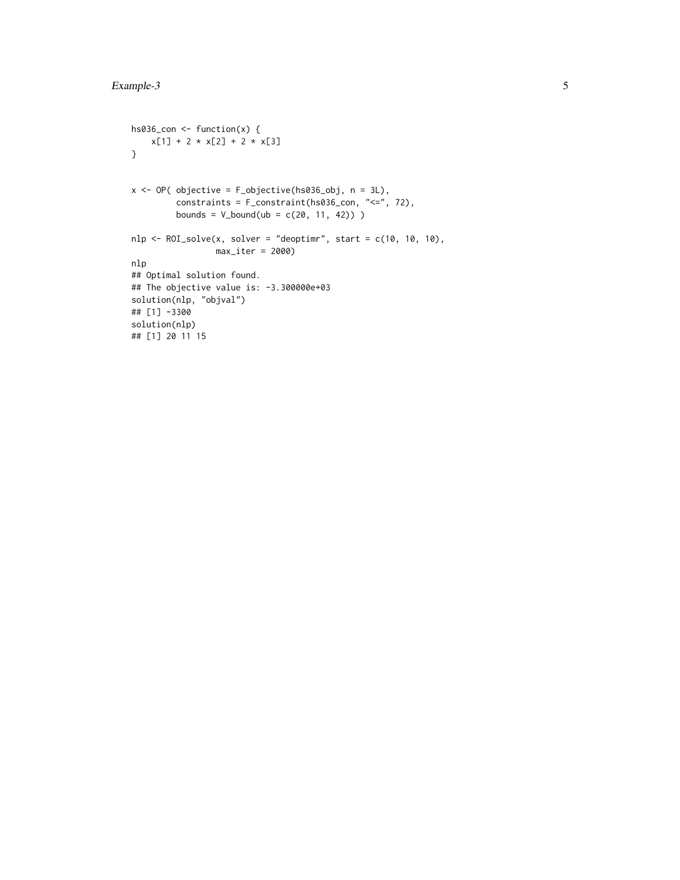```
hs036_{con} < function(x) {
    x[1] + 2 \times x[2] + 2 \times x[3]}
x \le - OP( objective = F_objective(hs036_obj, n = 3L),
         constraints = F_constraint(hs036_con, "<=", 72),
         bounds = V_{bound}(ub = c(20, 11, 42))nlp \leq ROI_solve(x, solver = "deoptimr", start = c(10, 10, 10),
                 max\_iter = 2000nlp
## Optimal solution found.
## The objective value is: -3.300000e+03
solution(nlp, "objval")
## [1] -3300
solution(nlp)
## [1] 20 11 15
```